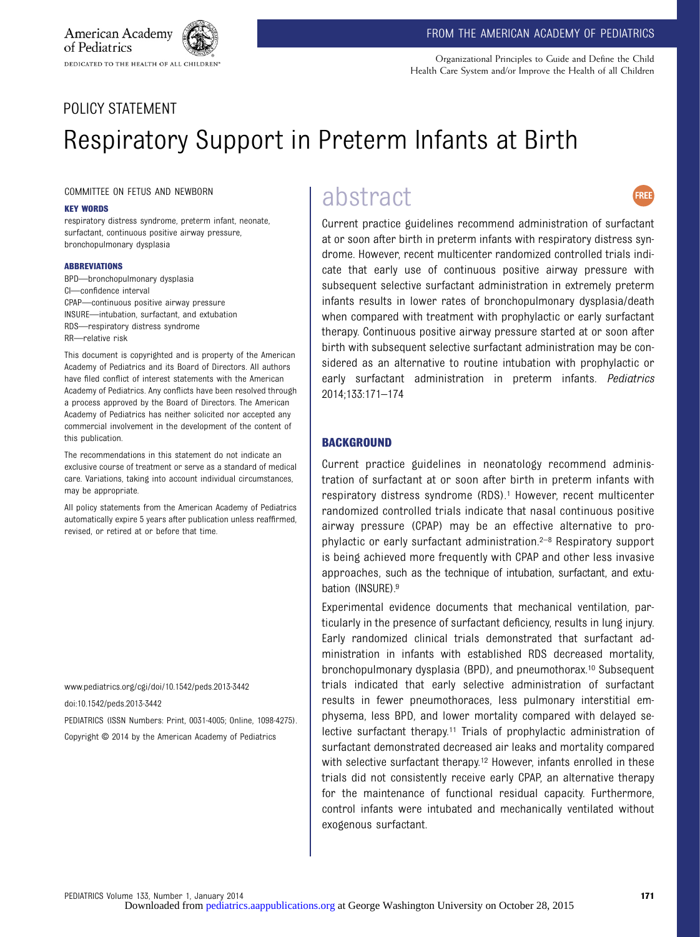Organizational Principles to Guide and Define the Child Health Care System and/or Improve the Health of all Children

# POLICY STATEMENT

American Academy

of Pediatrics

# Respiratory Support in Preterm Infants at Birth

COMMITTEE ON FETUS AND NEWBORN

DEDICATED TO THE HEALTH OF ALL CHILDREN"

#### KEY WORDS

respiratory distress syndrome, preterm infant, neonate, surfactant, continuous positive airway pressure, bronchopulmonary dysplasia

#### ABBREVIATIONS

BPD—bronchopulmonary dysplasia CI—confidence interval CPAP—continuous positive airway pressure INSURE—intubation, surfactant, and extubation RDS—respiratory distress syndrome RR—relative risk

This document is copyrighted and is property of the American Academy of Pediatrics and its Board of Directors. All authors have filed conflict of interest statements with the American Academy of Pediatrics. Any conflicts have been resolved through a process approved by the Board of Directors. The American Academy of Pediatrics has neither solicited nor accepted any commercial involvement in the development of the content of this publication.

The recommendations in this statement do not indicate an exclusive course of treatment or serve as a standard of medical care. Variations, taking into account individual circumstances, may be appropriate.

All policy statements from the American Academy of Pediatrics automatically expire 5 years after publication unless reaffirmed, revised, or retired at or before that time.

www.pediatrics.org/cgi/doi/10.1542/peds.2013-3442 doi:10.1542/peds.2013-3442

PEDIATRICS (ISSN Numbers: Print, 0031-4005; Online, 1098-4275). Copyright © 2014 by the American Academy of Pediatrics

# abstract



Current practice guidelines recommend administration of surfactant at or soon after birth in preterm infants with respiratory distress syndrome. However, recent multicenter randomized controlled trials indicate that early use of continuous positive airway pressure with subsequent selective surfactant administration in extremely preterm infants results in lower rates of bronchopulmonary dysplasia/death when compared with treatment with prophylactic or early surfactant therapy. Continuous positive airway pressure started at or soon after birth with subsequent selective surfactant administration may be considered as an alternative to routine intubation with prophylactic or early surfactant administration in preterm infants. Pediatrics 2014;133:171–174

#### **BACKGROUND**

Current practice guidelines in neonatology recommend administration of surfactant at or soon after birth in preterm infants with respiratory distress syndrome (RDS).<sup>1</sup> However, recent multicenter randomized controlled trials indicate that nasal continuous positive airway pressure (CPAP) may be an effective alternative to prophylactic or early surfactant administration.2–<sup>8</sup> Respiratory support is being achieved more frequently with CPAP and other less invasive approaches, such as the technique of intubation, surfactant, and extubation (INSURE).9

Experimental evidence documents that mechanical ventilation, particularly in the presence of surfactant deficiency, results in lung injury. Early randomized clinical trials demonstrated that surfactant administration in infants with established RDS decreased mortality, bronchopulmonary dysplasia (BPD), and pneumothorax.10 Subsequent trials indicated that early selective administration of surfactant results in fewer pneumothoraces, less pulmonary interstitial emphysema, less BPD, and lower mortality compared with delayed selective surfactant therapy.<sup>11</sup> Trials of prophylactic administration of surfactant demonstrated decreased air leaks and mortality compared with selective surfactant therapy.<sup>12</sup> However, infants enrolled in these trials did not consistently receive early CPAP, an alternative therapy for the maintenance of functional residual capacity. Furthermore, control infants were intubated and mechanically ventilated without exogenous surfactant.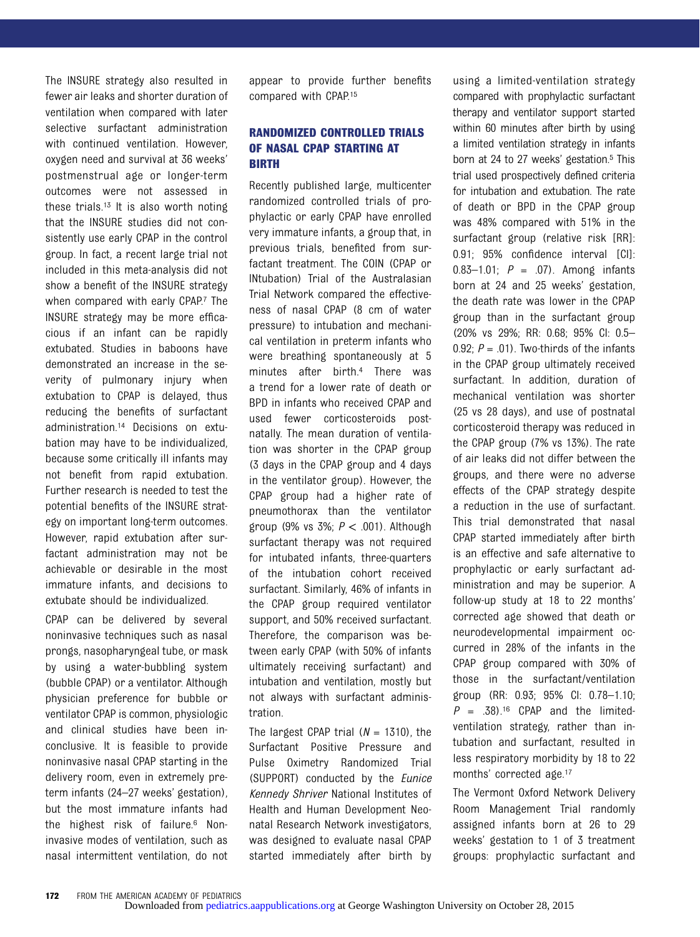The INSURE strategy also resulted in fewer air leaks and shorter duration of ventilation when compared with later selective surfactant administration with continued ventilation. However, oxygen need and survival at 36 weeks' postmenstrual age or longer-term outcomes were not assessed in these trials.13 It is also worth noting that the INSURE studies did not consistently use early CPAP in the control group. In fact, a recent large trial not included in this meta-analysis did not show a benefit of the INSURE strategy when compared with early CPAP.7 The INSURE strategy may be more efficacious if an infant can be rapidly extubated. Studies in baboons have demonstrated an increase in the severity of pulmonary injury when extubation to CPAP is delayed, thus reducing the benefits of surfactant administration.14 Decisions on extubation may have to be individualized, because some critically ill infants may not benefit from rapid extubation. Further research is needed to test the potential benefits of the INSURE strategy on important long-term outcomes. However, rapid extubation after surfactant administration may not be achievable or desirable in the most immature infants, and decisions to extubate should be individualized.

CPAP can be delivered by several noninvasive techniques such as nasal prongs, nasopharyngeal tube, or mask by using a water-bubbling system (bubble CPAP) or a ventilator. Although physician preference for bubble or ventilator CPAP is common, physiologic and clinical studies have been inconclusive. It is feasible to provide noninvasive nasal CPAP starting in the delivery room, even in extremely preterm infants (24–27 weeks' gestation), but the most immature infants had the highest risk of failure.6 Noninvasive modes of ventilation, such as nasal intermittent ventilation, do not appear to provide further benefits compared with CPAP.15

## RANDOMIZED CONTROLLED TRIALS OF NASAL CPAP STARTING AT BIRTH

Recently published large, multicenter randomized controlled trials of prophylactic or early CPAP have enrolled very immature infants, a group that, in previous trials, benefited from surfactant treatment. The COIN (CPAP or INtubation) Trial of the Australasian Trial Network compared the effectiveness of nasal CPAP (8 cm of water pressure) to intubation and mechanical ventilation in preterm infants who were breathing spontaneously at 5 minutes after birth.4 There was a trend for a lower rate of death or BPD in infants who received CPAP and used fewer corticosteroids postnatally. The mean duration of ventilation was shorter in the CPAP group (3 days in the CPAP group and 4 days in the ventilator group). However, the CPAP group had a higher rate of pneumothorax than the ventilator group (9% vs  $3\%$ ;  $P < .001$ ). Although surfactant therapy was not required for intubated infants, three-quarters of the intubation cohort received surfactant. Similarly, 46% of infants in the CPAP group required ventilator support, and 50% received surfactant. Therefore, the comparison was between early CPAP (with 50% of infants ultimately receiving surfactant) and intubation and ventilation, mostly but not always with surfactant administration.

The largest CPAP trial  $(N = 1310)$ , the Surfactant Positive Pressure and Pulse Oximetry Randomized Trial (SUPPORT) conducted by the Eunice Kennedy Shriver National Institutes of Health and Human Development Neonatal Research Network investigators, was designed to evaluate nasal CPAP started immediately after birth by

using a limited-ventilation strategy compared with prophylactic surfactant therapy and ventilator support started within 60 minutes after birth by using a limited ventilation strategy in infants born at 24 to 27 weeks' gestation.<sup>5</sup> This trial used prospectively defined criteria for intubation and extubation. The rate of death or BPD in the CPAP group was 48% compared with 51% in the surfactant group (relative risk [RR]: 0.91; 95% confidence interval [CI]: 0.83-1.01;  $P = .07$ ). Among infants born at 24 and 25 weeks' gestation, the death rate was lower in the CPAP group than in the surfactant group (20% vs 29%; RR: 0.68; 95% CI: 0.5– 0.92;  $P = .01$ ). Two-thirds of the infants in the CPAP group ultimately received surfactant. In addition, duration of mechanical ventilation was shorter (25 vs 28 days), and use of postnatal corticosteroid therapy was reduced in the CPAP group (7% vs 13%). The rate of air leaks did not differ between the groups, and there were no adverse effects of the CPAP strategy despite a reduction in the use of surfactant. This trial demonstrated that nasal CPAP started immediately after birth is an effective and safe alternative to prophylactic or early surfactant administration and may be superior. A follow-up study at 18 to 22 months' corrected age showed that death or neurodevelopmental impairment occurred in 28% of the infants in the CPAP group compared with 30% of those in the surfactant/ventilation group (RR: 0.93; 95% CI: 0.78–1.10;  $P = .38$ ).<sup>16</sup> CPAP and the limitedventilation strategy, rather than intubation and surfactant, resulted in less respiratory morbidity by 18 to 22 months' corrected age.17

The Vermont Oxford Network Delivery Room Management Trial randomly assigned infants born at 26 to 29 weeks' gestation to 1 of 3 treatment groups: prophylactic surfactant and

172 FROM THE AMERICAN ACADEMY OF PEDIATRICS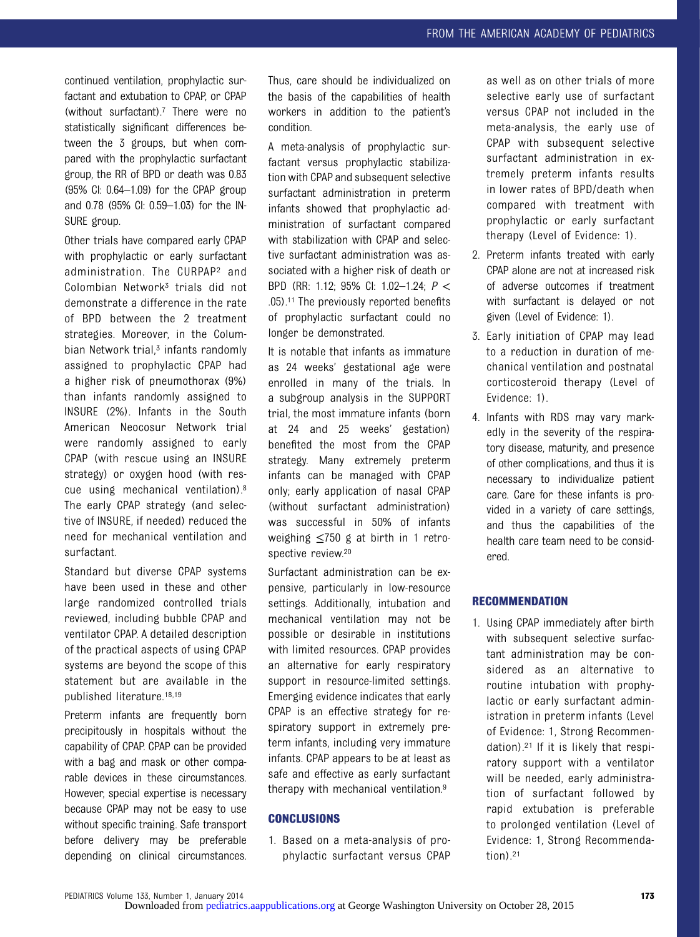continued ventilation, prophylactic surfactant and extubation to CPAP, or CPAP (without surfactant).7 There were no statistically significant differences between the 3 groups, but when compared with the prophylactic surfactant group, the RR of BPD or death was 0.83 (95% CI: 0.64–1.09) for the CPAP group and 0.78 (95% CI: 0.59–1.03) for the IN-SURE group.

Other trials have compared early CPAP with prophylactic or early surfactant administration. The CURPAP2 and Colombian Network3 trials did not demonstrate a difference in the rate of BPD between the 2 treatment strategies. Moreover, in the Columbian Network trial, $3$  infants randomly assigned to prophylactic CPAP had a higher risk of pneumothorax (9%) than infants randomly assigned to INSURE (2%). Infants in the South American Neocosur Network trial were randomly assigned to early CPAP (with rescue using an INSURE strategy) or oxygen hood (with rescue using mechanical ventilation).8 The early CPAP strategy (and selective of INSURE, if needed) reduced the need for mechanical ventilation and surfactant.

Standard but diverse CPAP systems have been used in these and other large randomized controlled trials reviewed, including bubble CPAP and ventilator CPAP. A detailed description of the practical aspects of using CPAP systems are beyond the scope of this statement but are available in the published literature.18,19

Preterm infants are frequently born precipitously in hospitals without the capability of CPAP. CPAP can be provided with a bag and mask or other comparable devices in these circumstances. However, special expertise is necessary because CPAP may not be easy to use without specific training. Safe transport before delivery may be preferable depending on clinical circumstances.

Thus, care should be individualized on the basis of the capabilities of health workers in addition to the patient's condition.

A meta-analysis of prophylactic surfactant versus prophylactic stabilization with CPAP and subsequent selective surfactant administration in preterm infants showed that prophylactic administration of surfactant compared with stabilization with CPAP and selective surfactant administration was associated with a higher risk of death or BPD (RR: 1.12; 95% CI: 1.02–1.24; P < .05).11 The previously reported benefits of prophylactic surfactant could no longer be demonstrated.

It is notable that infants as immature as 24 weeks' gestational age were enrolled in many of the trials. In a subgroup analysis in the SUPPORT trial, the most immature infants (born at 24 and 25 weeks' gestation) benefited the most from the CPAP strategy. Many extremely preterm infants can be managed with CPAP only; early application of nasal CPAP (without surfactant administration) was successful in 50% of infants weighing ≤750 g at birth in 1 retrospective review.<sup>20</sup>

Surfactant administration can be expensive, particularly in low-resource settings. Additionally, intubation and mechanical ventilation may not be possible or desirable in institutions with limited resources. CPAP provides an alternative for early respiratory support in resource-limited settings. Emerging evidence indicates that early CPAP is an effective strategy for respiratory support in extremely preterm infants, including very immature infants. CPAP appears to be at least as safe and effective as early surfactant therapy with mechanical ventilation.9

#### **CONCLUSIONS**

1. Based on a meta-analysis of prophylactic surfactant versus CPAP as well as on other trials of more selective early use of surfactant versus CPAP not included in the meta-analysis, the early use of CPAP with subsequent selective surfactant administration in extremely preterm infants results in lower rates of BPD/death when compared with treatment with prophylactic or early surfactant therapy (Level of Evidence: 1).

- 2. Preterm infants treated with early CPAP alone are not at increased risk of adverse outcomes if treatment with surfactant is delayed or not given (Level of Evidence: 1).
- 3. Early initiation of CPAP may lead to a reduction in duration of mechanical ventilation and postnatal corticosteroid therapy (Level of Evidence: 1).
- 4. Infants with RDS may vary markedly in the severity of the respiratory disease, maturity, and presence of other complications, and thus it is necessary to individualize patient care. Care for these infants is provided in a variety of care settings, and thus the capabilities of the health care team need to be considered.

### **RECOMMENDATION**

1. Using CPAP immediately after birth with subsequent selective surfactant administration may be considered as an alternative to routine intubation with prophylactic or early surfactant administration in preterm infants (Level of Evidence: 1, Strong Recommendation).21 If it is likely that respiratory support with a ventilator will be needed, early administration of surfactant followed by rapid extubation is preferable to prolonged ventilation (Level of Evidence: 1, Strong Recommendation). $21$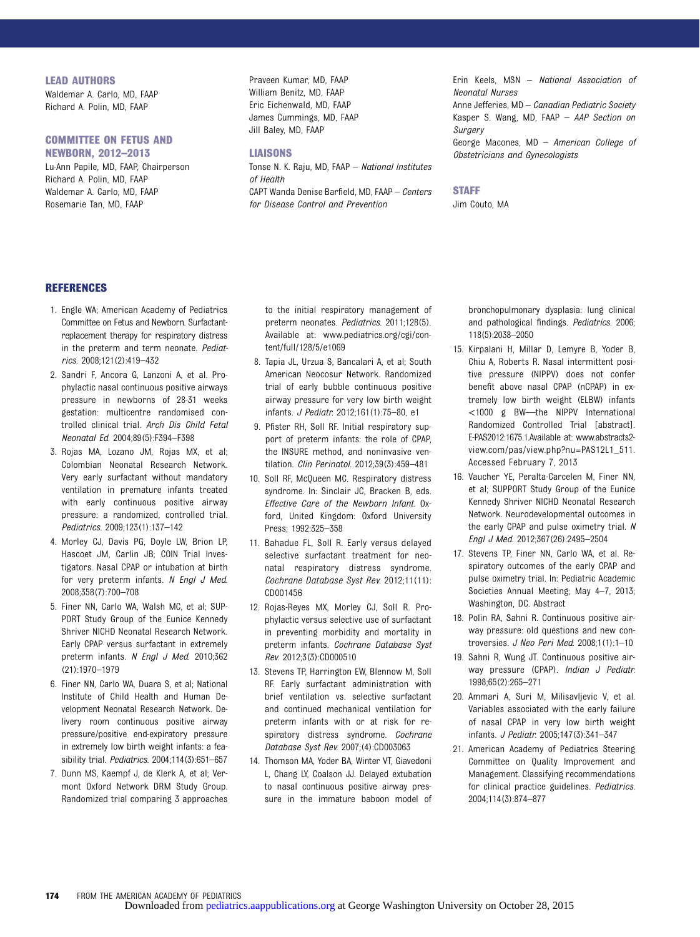#### LEAD AUTHORS

Waldemar A. Carlo, MD, FAAP Richard A. Polin, MD, FAAP

# COMMITTEE ON FETUS AND

NEWBORN, 2012–2013 Lu-Ann Papile, MD, FAAP, Chairperson Richard A. Polin, MD, FAAP Waldemar A. Carlo, MD, FAAP Rosemarie Tan, MD, FAAP

Praveen Kumar, MD, FAAP William Benitz, MD, FAAP Eric Eichenwald, MD, FAAP James Cummings, MD, FAAP Jill Baley, MD, FAAP

#### LIAISONS

Tonse N. K. Raju, MD, FAAP – National Institutes of Health CAPT Wanda Denise Barfield, MD, FAAP – Centers for Disease Control and Prevention

Erin Keels, MSN – National Association of Neonatal Nurses

Anne Jefferies, MD - Canadian Pediatric Society Kasper S. Wang, MD, FAAP – AAP Section on **Surgery** 

George Macones, MD – American College of Obstetricians and Gynecologists

#### **STAFF**

Jim Couto, MA

#### **REFERENCES**

- 1. Engle WA; American Academy of Pediatrics Committee on Fetus and Newborn. Surfactantreplacement therapy for respiratory distress in the preterm and term neonate. Pediatrics. 2008;121(2):419–432
- 2. Sandri F, Ancora G, Lanzoni A, et al. Prophylactic nasal continuous positive airways pressure in newborns of 28-31 weeks gestation: multicentre randomised controlled clinical trial. Arch Dis Child Fetal Neonatal Ed. 2004;89(5):F394–F398
- 3. Rojas MA, Lozano JM, Rojas MX, et al; Colombian Neonatal Research Network. Very early surfactant without mandatory ventilation in premature infants treated with early continuous positive airway pressure: a randomized, controlled trial. Pediatrics. 2009;123(1):137–142
- 4. Morley CJ, Davis PG, Doyle LW, Brion LP, Hascoet JM, Carlin JB; COIN Trial Investigators. Nasal CPAP or intubation at birth for very preterm infants. N Engl J Med. 2008;358(7):700–708
- 5. Finer NN, Carlo WA, Walsh MC, et al; SUP-PORT Study Group of the Eunice Kennedy Shriver NICHD Neonatal Research Network. Early CPAP versus surfactant in extremely preterm infants. N Engl J Med. 2010;362 (21):1970–1979
- 6. Finer NN, Carlo WA, Duara S, et al; National Institute of Child Health and Human Development Neonatal Research Network. Delivery room continuous positive airway pressure/positive end-expiratory pressure in extremely low birth weight infants: a feasibility trial. Pediatrics. 2004;114(3):651–657
- 7. Dunn MS, Kaempf J, de Klerk A, et al; Vermont Oxford Network DRM Study Group. Randomized trial comparing 3 approaches

to the initial respiratory management of preterm neonates. Pediatrics. 2011;128(5). Available at: [www.pediatrics.org/cgi/con](www.pediatrics.org/cgi/content/full/128/5/e1069)[tent/full/128/5/e1069](www.pediatrics.org/cgi/content/full/128/5/e1069)

- 8. Tapia JL, Urzua S, Bancalari A, et al; South American Neocosur Network. Randomized trial of early bubble continuous positive airway pressure for very low birth weight infants. J Pediatr. 2012;161(1):75–80, e1
- 9. Pfister RH, Soll RF. Initial respiratory support of preterm infants: the role of CPAP, the INSURE method, and noninvasive ventilation. Clin Perinatol. 2012;39(3):459–481
- 10. Soll RF, McQueen MC. Respiratory distress syndrome. In: Sinclair JC, Bracken B, eds. Effective Care of the Newborn Infant. Oxford, United Kingdom: Oxford University Press; 1992:325–358
- 11. Bahadue FL, Soll R. Early versus delayed selective surfactant treatment for neonatal respiratory distress syndrome. Cochrane Database Syst Rev. 2012;11(11): CD001456
- 12. Rojas-Reyes MX, Morley CJ, Soll R. Prophylactic versus selective use of surfactant in preventing morbidity and mortality in preterm infants. Cochrane Database Syst Rev. 2012;3(3):CD000510
- 13. Stevens TP, Harrington EW, Blennow M, Soll RF. Early surfactant administration with brief ventilation vs. selective surfactant and continued mechanical ventilation for preterm infants with or at risk for respiratory distress syndrome. Cochrane Database Syst Rev. 2007;(4):CD003063
- 14. Thomson MA, Yoder BA, Winter VT, Giavedoni L, Chang LY, Coalson JJ. Delayed extubation to nasal continuous positive airway pressure in the immature baboon model of

bronchopulmonary dysplasia: lung clinical and pathological findings. Pediatrics. 2006; 118(5):2038–2050

- 15. Kirpalani H, Millar D, Lemyre B, Yoder B, Chiu A, Roberts R. Nasal intermittent positive pressure (NIPPV) does not confer benefit above nasal CPAP (nCPAP) in extremely low birth weight (ELBW) infants <1000 g BW—the NIPPV International Randomized Controlled Trial [abstract]. E-PAS2012:1675.1.Available at: [www.abstracts2](www.abstracts2view.com/pas/view.php?nu=PAS12L1_511) [view.com/pas/view.php?nu=PAS12L1\\_511](www.abstracts2view.com/pas/view.php?nu=PAS12L1_511). Accessed February 7, 2013
- 16. Vaucher YE, Peralta-Carcelen M, Finer NN, et al; SUPPORT Study Group of the Eunice Kennedy Shriver NICHD Neonatal Research Network. Neurodevelopmental outcomes in the early CPAP and pulse oximetry trial. N Engl J Med. 2012;367(26):2495–2504
- 17. Stevens TP, Finer NN, Carlo WA, et al. Respiratory outcomes of the early CPAP and pulse oximetry trial. In: Pediatric Academic Societies Annual Meeting; May 4–7, 2013; Washington, DC. Abstract
- 18. Polin RA, Sahni R. Continuous positive airway pressure: old questions and new controversies. J Neo Peri Med. 2008;1(1):1-10
- 19. Sahni R, Wung JT. Continuous positive airway pressure (CPAP). Indian J Pediatr. 1998;65(2):265–271
- 20. Ammari A, Suri M, Milisavljevic V, et al. Variables associated with the early failure of nasal CPAP in very low birth weight infants. J Pediatr. 2005;147(3):341–347
- 21. American Academy of Pediatrics Steering Committee on Quality Improvement and Management. Classifying recommendations for clinical practice guidelines. Pediatrics. 2004;114(3):874–877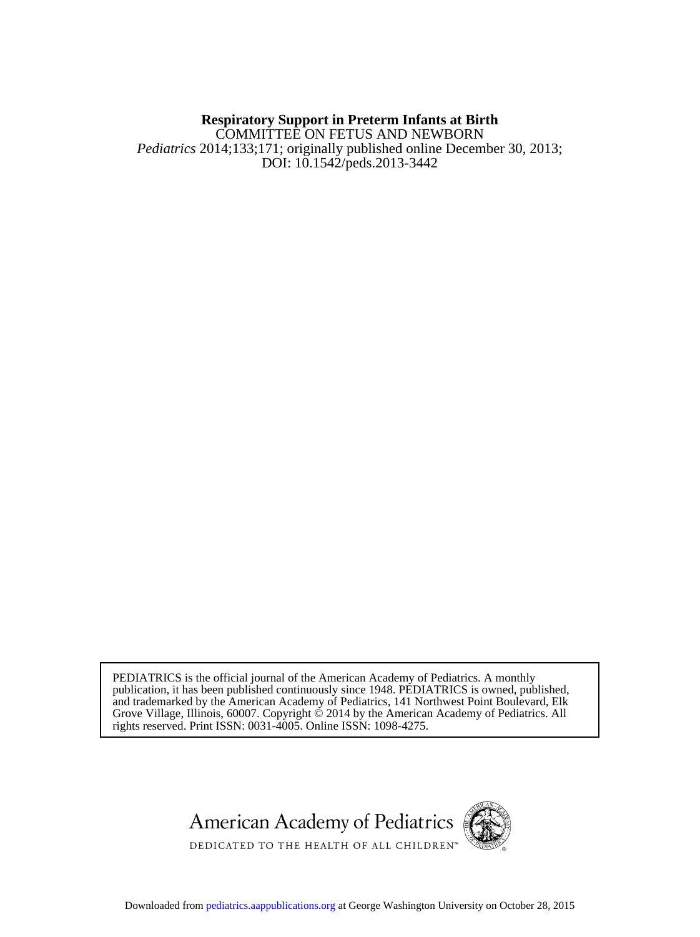## DOI: 10.1542/peds.2013-3442 *Pediatrics* 2014;133;171; originally published online December 30, 2013; COMMITTEE ON FETUS AND NEWBORN **Respiratory Support in Preterm Infants at Birth**

rights reserved. Print ISSN: 0031-4005. Online ISSN: 1098-4275. Grove Village, Illinois, 60007. Copyright © 2014 by the American Academy of Pediatrics. All and trademarked by the American Academy of Pediatrics, 141 Northwest Point Boulevard, Elk publication, it has been published continuously since 1948. PEDIATRICS is owned, published, PEDIATRICS is the official journal of the American Academy of Pediatrics. A monthly



Downloaded from [pediatrics.aappublications.org](http://pediatrics.aappublications.org/) at George Washington University on October 28, 2015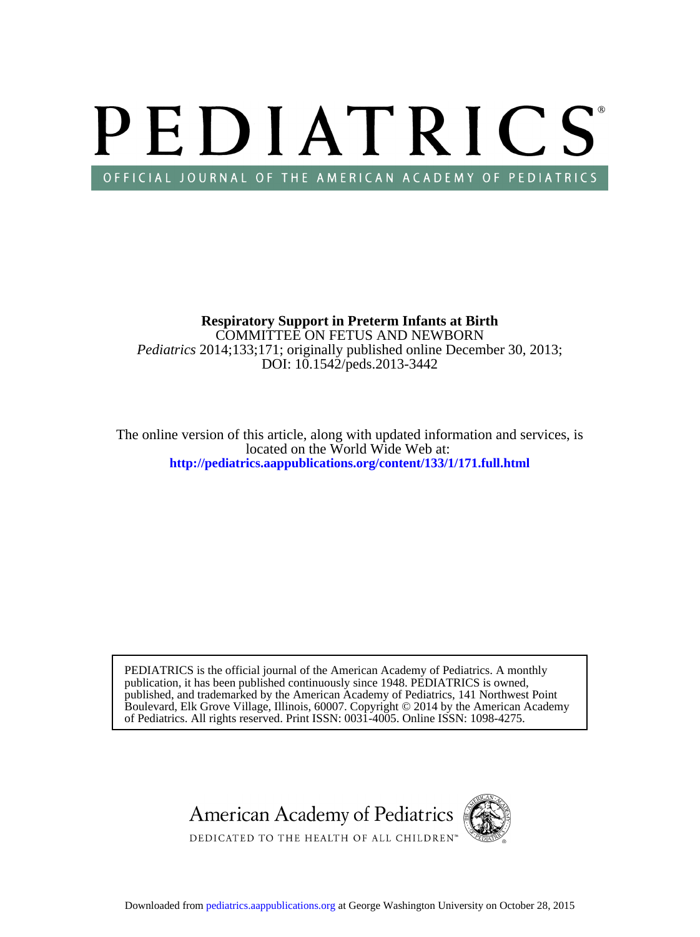# PEDIATRICS OFFICIAL JOURNAL OF THE AMERICAN ACADEMY OF PEDIATRICS

DOI: 10.1542/peds.2013-3442 *Pediatrics* 2014;133;171; originally published online December 30, 2013; COMMITTEE ON FETUS AND NEWBORN **Respiratory Support in Preterm Infants at Birth**

**<http://pediatrics.aappublications.org/content/133/1/171.full.html>** located on the World Wide Web at: The online version of this article, along with updated information and services, is

of Pediatrics. All rights reserved. Print ISSN: 0031-4005. Online ISSN: 1098-4275. Boulevard, Elk Grove Village, Illinois, 60007. Copyright © 2014 by the American Academy published, and trademarked by the American Academy of Pediatrics, 141 Northwest Point publication, it has been published continuously since 1948. PEDIATRICS is owned, PEDIATRICS is the official journal of the American Academy of Pediatrics. A monthly